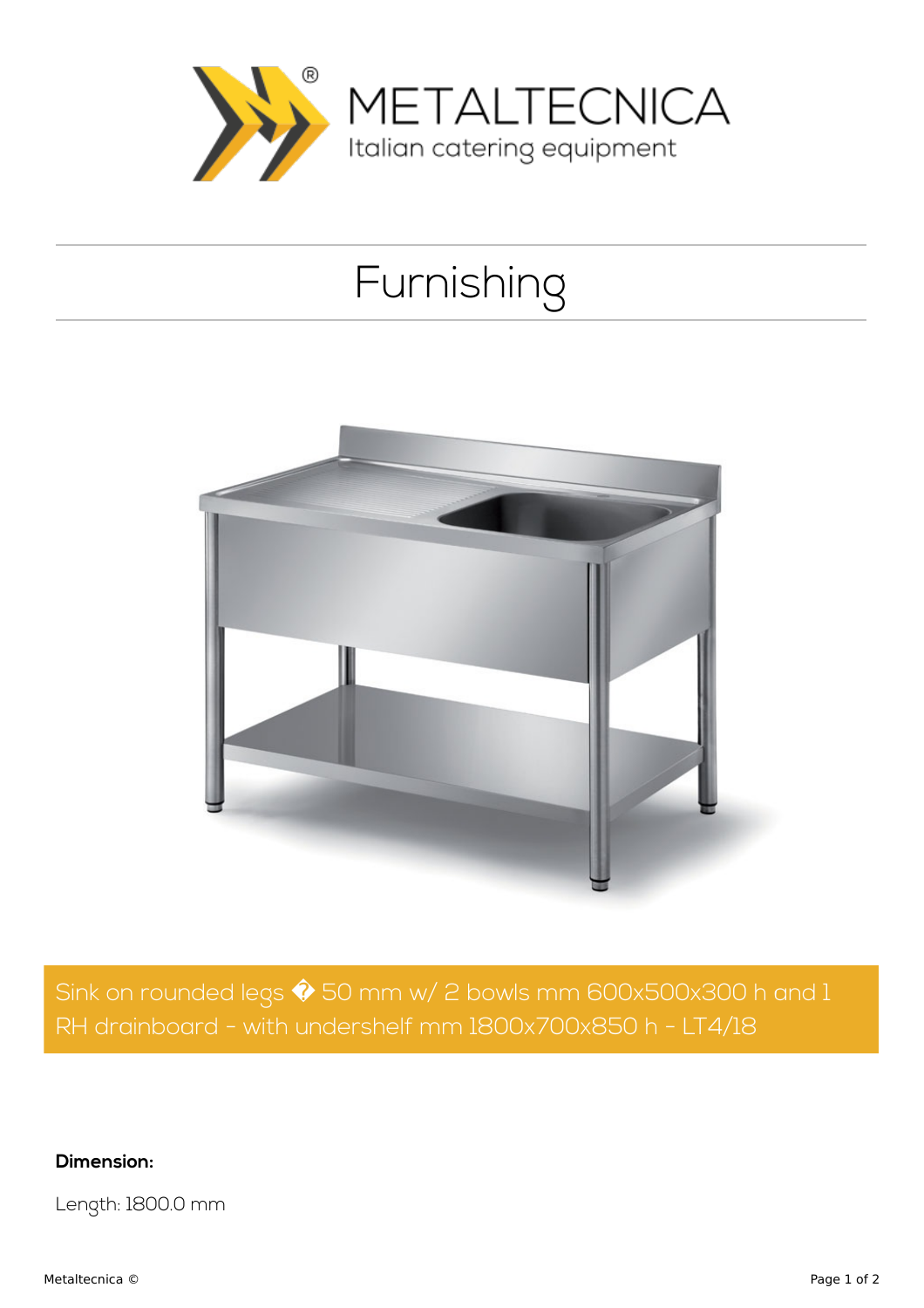

## Furnishing



Sink on rounded legs  $\hat{\blacklozenge}$  50 mm w/ 2 bowls mm 600x500x300 h and 1 RH drainboard - with undershelf mm 1800x700x850 h - LT4/18

**Dimension:**

Length: 1800.0 mm